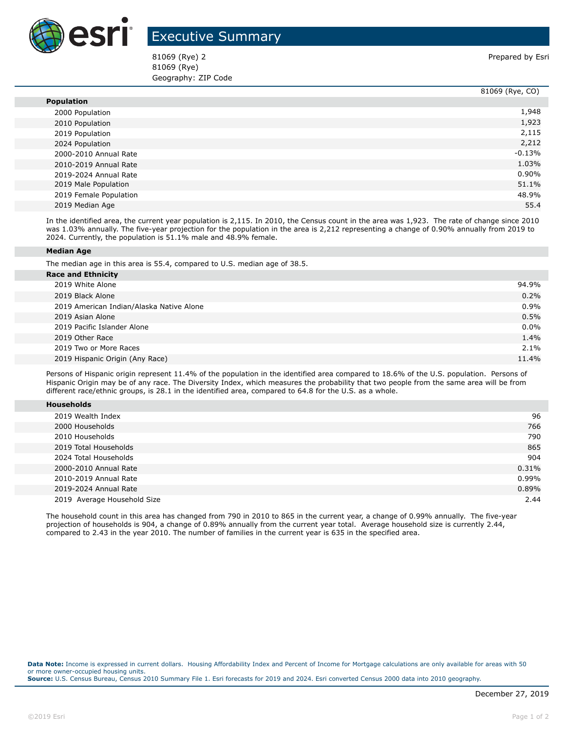

## Executive Summary

81069 (Rye) 2 **Prepared by Esri** 81069 (Rye) Geography: ZIP Code

|                        | 81069 (Rye, CO) |
|------------------------|-----------------|
| <b>Population</b>      |                 |
| 2000 Population        | 1,948           |
| 2010 Population        | 1,923           |
| 2019 Population        | 2,115           |
| 2024 Population        | 2,212           |
| 2000-2010 Annual Rate  | $-0.13%$        |
| 2010-2019 Annual Rate  | 1.03%           |
| 2019-2024 Annual Rate  | $0.90\%$        |
| 2019 Male Population   | 51.1%           |
| 2019 Female Population | 48.9%           |
| 2019 Median Age        | 55.4            |

In the identified area, the current year population is 2,115. In 2010, the Census count in the area was 1,923. The rate of change since 2010 was 1.03% annually. The five-year projection for the population in the area is 2,212 representing a change of 0.90% annually from 2019 to 2024. Currently, the population is 51.1% male and 48.9% female.

## **Median Age**

The median age in this area is 55.4, compared to U.S. median age of 38.5.

| <b>Race and Ethnicity</b>                |         |
|------------------------------------------|---------|
| 2019 White Alone                         | 94.9%   |
| 2019 Black Alone                         | 0.2%    |
| 2019 American Indian/Alaska Native Alone | 0.9%    |
| 2019 Asian Alone                         | 0.5%    |
| 2019 Pacific Islander Alone              | $0.0\%$ |
| 2019 Other Race                          | 1.4%    |
| 2019 Two or More Races                   | $2.1\%$ |
| 2019 Hispanic Origin (Any Race)          | 11.4%   |
|                                          |         |

Persons of Hispanic origin represent 11.4% of the population in the identified area compared to 18.6% of the U.S. population. Persons of Hispanic Origin may be of any race. The Diversity Index, which measures the probability that two people from the same area will be from different race/ethnic groups, is 28.1 in the identified area, compared to 64.8 for the U.S. as a whole.

| <b>Households</b> |
|-------------------|
|-------------------|

| 2019 Wealth Index           | 96       |
|-----------------------------|----------|
| 2000 Households             | 766      |
| 2010 Households             | 790      |
| 2019 Total Households       | 865      |
| 2024 Total Households       | 904      |
| 2000-2010 Annual Rate       | 0.31%    |
| 2010-2019 Annual Rate       | $0.99\%$ |
| 2019-2024 Annual Rate       | 0.89%    |
| 2019 Average Household Size | 2.44     |

The household count in this area has changed from 790 in 2010 to 865 in the current year, a change of 0.99% annually. The five-year projection of households is 904, a change of 0.89% annually from the current year total. Average household size is currently 2.44, compared to 2.43 in the year 2010. The number of families in the current year is 635 in the specified area.

**Data Note:** Income is expressed in current dollars. Housing Affordability Index and Percent of Income for Mortgage calculations are only available for areas with 50 or more owner-occupied housing units. **Source:** U.S. Census Bureau, Census 2010 Summary File 1. Esri forecasts for 2019 and 2024. Esri converted Census 2000 data into 2010 geography.